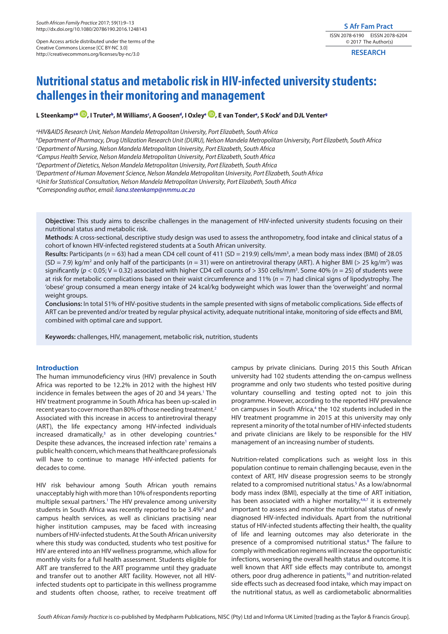Open Access article distributed under the terms of the Creative Commons License [CC BY-NC 3.0] http://creativecommons.org/licenses/by-nc/3.0

# **S Afr Fam Pract** ISSN 2078-6190 EISSN 2078-6204 © 2017 The Author(s)

**RESEARCH**

# **Nutritional status and metabolic risk in HIV-infected university students: challenges in their monitoring and management**

L Steenk[a](#page-0-0)mp<sup>a</sup>[\\*](#page-0-1) <sup>199</sup>[,](http://orcid.org/0000-0002-8982-0878) I Trut[e](#page-0-5)r<sup>b</sup>, M Williams', A Goosen<sup>d</sup>, I Oxley° <sup>199</sup>, E van Tonder°, S Kock<sup>f</sup> and DJL Venter°

<span id="page-0-0"></span>*a HIV&AIDS Research Unit, Nelson Mandela Metropolitan University, Port Elizabeth, South Africa*

<span id="page-0-2"></span>*b Department of Pharmacy, Drug Utilization Research Unit (DURU), Nelson Mandela Metropolitan University, Port Elizabeth, South Africa*

<span id="page-0-3"></span>*c Department of Nursing, Nelson Mandela Metropolitan University, Port Elizabeth, South Africa*

<span id="page-0-4"></span>*d Campus Health Service, Nelson Mandela Metropolitan University, Port Elizabeth, South Africa*

<span id="page-0-5"></span>*e Department of Dietetics, Nelson Mandela Metropolitan University, Port Elizabeth, South Africa*

<span id="page-0-6"></span>*f Department of Human Movement Science, Nelson Mandela Metropolitan University, Port Elizabeth, South Africa*

<span id="page-0-7"></span>*g Unit for Statistical Consultation, Nelson Mandela Metropolitan University, Port Elizabeth, South Africa*

<span id="page-0-1"></span>*\*Corresponding author, email: [liana.steenkamp@nmmu.ac.za](mailto:liana.steenkamp@nmmu.ac.za)*

**Objective:** This study aims to describe challenges in the management of HIV-infected university students focusing on their nutritional status and metabolic risk.

**Methods:** A cross-sectional, descriptive study design was used to assess the anthropometry, food intake and clinical status of a cohort of known HIV-infected registered students at a South African university.

**Results:** Participants (*n* = 63) had a mean CD4 cell count of 411 (SD = 219.9) cells/mm3 , a mean body mass index (BMI) of 28.05 (SD = 7.9) kg/m<sup>2</sup> and only half of the participants (n = 31) were on antiretroviral therapy (ART). A higher BMI (> 25 kg/m<sup>2</sup>) was significantly ( $p < 0.05$ ; V = 0.32) associated with higher CD4 cell counts of > 350 cells/mm<sup>3</sup>. Some 40% (*n* = 25) of students were at risk for metabolic complications based on their waist circumference and 11% (*n* = 7) had clinical signs of lipodystrophy. The 'obese' group consumed a mean energy intake of 24 kcal/kg bodyweight which was lower than the 'overweight' and normal weight groups.

**Conclusions:** In total 51% of HIV-positive students in the sample presented with signs of metabolic complications. Side effects of ART can be prevented and/or treated by regular physical activity, adequate nutritional intake, monitoring of side effects and BMI, combined with optimal care and support.

**Keywords:** challenges, HIV, management, metabolic risk, nutrition, students

# **Introduction**

<span id="page-0-9"></span><span id="page-0-8"></span>The human immunodeficiency virus (HIV) prevalence in South Africa was reported to be 12.2% in 2012 with the highest HIV incidence in females between the ages of 20 and 34 years.<sup>1</sup> The HIV treatment programme in South Africa has been up-scaled in recent years to cover more than 80% of those needing treatment[.2](#page-3-1) Associated with this increase in access to antiretroviral therapy (ART), the life expectancy among HIV-infected individuals increased dramatically,<sup>[3](#page-3-2)</sup> as in other developing countries.<sup>4</sup> Despite these advances, the increased infection rate<sup>[1](#page-3-0)</sup> remains a public health concern, which means that healthcare professionals will have to continue to manage HIV-infected patients for decades to come.

<span id="page-0-10"></span>HIV risk behaviour among South African youth remains unacceptably high with more than 10% of respondents reporting multiple sexual partners.<sup>1</sup> The HIV prevalence among university students in South Africa was recently reported to be 3.4%<sup>4</sup> and campus health services, as well as clinicians practising near higher institution campuses, may be faced with increasing numbers of HIV-infected students. At the South African university where this study was conducted, students who test positive for HIV are entered into an HIV wellness programme, which allow for monthly visits for a full health assessment. Students eligible for ART are transferred to the ART programme until they graduate and transfer out to another ART facility. However, not all HIVinfected students opt to participate in this wellness programme and students often choose, rather, to receive treatment off

campus by private clinicians. During 2015 this South African university had 102 students attending the on-campus wellness programme and only two students who tested positive during voluntary counselling and testing opted not to join this programme. However, according to the reported HIV prevalence on campuses in South Africa,<sup>[4](#page-3-3)</sup> the 102 students included in the HIV treatment programme in 2015 at this university may only represent a minority of the total number of HIV-infected students and private clinicians are likely to be responsible for the HIV management of an increasing number of students.

<span id="page-0-16"></span><span id="page-0-15"></span><span id="page-0-14"></span><span id="page-0-13"></span><span id="page-0-12"></span><span id="page-0-11"></span>Nutrition-related complications such as weight loss in this population continue to remain challenging because, even in the context of ART, HIV disease progression seems to be strongly related to a compromised nutritional status.<sup>[5](#page-3-4)</sup> As a low/abnormal body mass index (BMI), especially at the time of ART initiation, has been associated with a higher mortality,<sup>4,[6,](#page-3-5)[7](#page-3-6)</sup> it is extremely important to assess and monitor the nutritional status of newly diagnosed HIV-infected individuals. Apart from the nutritional status of HIV-infected students affecting their health, the quality of life and learning outcomes may also deteriorate in the presence of a compromised nutritional status.<sup>8</sup> The failure to comply with medication regimens will increase the opportunistic infections, worsening the overall health status and outcome. It is well known that ART side effects may contribute to, amongst others, poor drug adherence in patients,<sup>10</sup> and nutrition-related side effects such as decreased food intake, which may impact on the nutritional status, as well as cardiometabolic abnormalities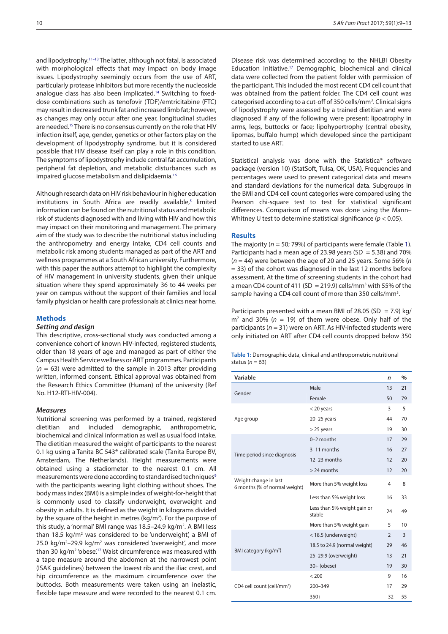<span id="page-1-3"></span><span id="page-1-2"></span>and lipodystrophy.[11–13](#page-4-1) The latter, although not fatal, is associated with morphological effects that may impact on body image issues. Lipodystrophy seemingly occurs from the use of ART, particularly protease inhibitors but more recently the nucleoside analogue class has also been implicated.<sup>14</sup> Switching to fixeddose combinations such as tenofovir (TDF)/emtricitabine (FTC) may result in decreased trunk fat and increased limb fat; however, as changes may only occur after one year, longitudinal studies are needed.[15](#page-4-3) There is no consensus currently on the role that HIV infection itself, age, gender, genetics or other factors play on the development of lipodystrophy syndrome, but it is considered possible that HIV disease itself can play a role in this condition. The symptoms of lipodystrophy include central fat accumulation, peripheral fat depletion, and metabolic disturbances such as impaired glucose metabolism and dislipidaemia.<sup>[16](#page-4-4)</sup>

<span id="page-1-4"></span>Although research data on HIV risk behaviour in higher education institutions in South Africa are readily available,<sup>5</sup> limited information can be found on the nutritional status and metabolic risk of students diagnosed with and living with HIV and how this may impact on their monitoring and management. The primary aim of the study was to describe the nutritional status including the anthropometry and energy intake, CD4 cell counts and metabolic risk among students managed as part of the ART and wellness programmes at a South African university. Furthermore, with this paper the authors attempt to highlight the complexity of HIV management in university students, given their unique situation where they spend approximately 36 to 44 weeks per year on campus without the support of their families and local family physician or health care professionals at clinics near home.

## **Methods**

#### *Setting and design*

This descriptive, cross-sectional study was conducted among a convenience cohort of known HIV-infected, registered students, older than 18 years of age and managed as part of either the Campus Health Service wellness or ART programmes. Participants (*n* = 63) were admitted to the sample in 2013 after providing written, informed consent. Ethical approval was obtained from the Research Ethics Committee (Human) of the university (Ref No. H12-RTI-HIV-004).

## *Measures*

<span id="page-1-5"></span><span id="page-1-1"></span>Nutritional screening was performed by a trained, registered dietitian and included demographic, anthropometric, biochemical and clinical information as well as usual food intake. The dietitian measured the weight of participants to the nearest 0.1 kg using a Tanita BC 543® calibrated scale (Tanita Europe BV, Amsterdam, The Netherlands). Height measurements were obtained using a stadiometer to the nearest 0.1 cm. All measurements were done according to standardised techniques<sup>9</sup> with the participants wearing light clothing without shoes. The body mass index (BMI) is a simple index of weight-for-height that is commonly used to classify underweight, overweight and obesity in adults. It is defined as the weight in kilograms divided by the square of the height in metres (kg/m<sup>2</sup>). For the purpose of this study, a 'normal' BMI range was 18.5-24.9 kg/m<sup>2</sup>. A BMI less than 18.5 kg/m<sup>2</sup> was considered to be 'underweight', a BMI of 25.0 kg/m<sup>2</sup> $-$ 29.9 kg/m<sup>2</sup> was considered 'overweight', and more than 30 kg/m<sup>2</sup> 'obese'.<sup>17</sup> Waist circumference was measured with a tape measure around the abdomen at the narrowest point (ISAK guidelines) between the lowest rib and the iliac crest, and hip circumference as the maximum circumference over the buttocks. Both measurements were taken using an inelastic, flexible tape measure and were recorded to the nearest 0.1 cm. Disease risk was determined according to the NHLBI Obesity Education Initiative[.17](#page-4-6) Demographic, biochemical and clinical data were collected from the patient folder with permission of the participant. This included the most recent CD4 cell count that was obtained from the patient folder. The CD4 cell count was categorised according to a cut-off of 350 cells/mm<sup>3</sup>. Clinical signs of lipodystrophy were assessed by a trained dietitian and were diagnosed if any of the following were present: lipoatrophy in arms, legs, buttocks or face; lipohypertrophy (central obesity, lipomas, buffalo hump) which developed since the participant started to use ART.

Statistical analysis was done with the Statistica® software package (version 10) (StatSoft, Tulsa, OK, USA). Frequencies and percentages were used to present categorical data and means and standard deviations for the numerical data. Subgroups in the BMI and CD4 cell count categories were compared using the Pearson chi-square test to test for statistical significant differences. Comparison of means was done using the Mann– Whitney U test to determine statistical significance (*p* < 0.05).

#### **Results**

The majority (*n* = 50; 79%) of participants were female (Table [1\)](#page-1-0). Participants had a mean age of 23.98 years (SD = 5.38) and 70% (*n* = 44) were between the age of 20 and 25 years. Some 56% (*n* = 33) of the cohort was diagnosed in the last 12 months before assessment. At the time of screening students in the cohort had a mean CD4 count of 411 (SD = 219.9) cells/mm<sup>3</sup> with 55% of the sample having a CD4 cell count of more than 350 cells/mm<sup>3</sup>.

Participants presented with a mean BMI of 28.05 (SD = 7.9) kg/  $m<sup>2</sup>$  and 30% ( $n = 19$ ) of them were obese. Only half of the participants (*n* = 31) were on ART. As HIV-infected students were only initiated on ART after CD4 cell counts dropped below 350

<span id="page-1-0"></span>

| Table 1: Demographic data, clinical and anthropometric nutritional |  |  |
|--------------------------------------------------------------------|--|--|
| status ( $n = 63$ )                                                |  |  |

| Variable                                               |                                       | n              | $\%$ |
|--------------------------------------------------------|---------------------------------------|----------------|------|
| Gender                                                 | Male                                  | 13             | 21   |
|                                                        | Female                                | 50             | 79   |
| Age group                                              | $<$ 20 years                          | 3              | 5    |
|                                                        | $20-25$ years                         | 44             | 70   |
|                                                        | $>$ 25 years                          | 19             | 30   |
| Time period since diagnosis                            | 0-2 months                            | 17             | 29   |
|                                                        | 3-11 months                           | 16             | 27   |
|                                                        | 12-23 months                          | 12             | 20   |
|                                                        | $> 24$ months                         | 12             | 20   |
| Weight change in last<br>6 months (% of normal weight) | More than 5% weight loss              | 4              | 8    |
|                                                        | Less than 5% weight loss              | 16             | 33   |
|                                                        | Less than 5% weight gain or<br>stable | 24             | 49   |
|                                                        | More than 5% weight gain              | 5              | 10   |
| BMI category ( $kg/m2$ )                               | < 18.5 (underweight)                  | $\overline{2}$ | 3    |
|                                                        | 18.5 to 24.9 (normal weight)          | 29             | 46   |
|                                                        | 25-29.9 (overweight)                  | 13             | 21   |
|                                                        | $30+$ (obese)                         | 19             | 30   |
| CD4 cell count (cell/mm <sup>3</sup> )                 | < 200                                 | 9              | 16   |
|                                                        | 200-349                               |                | 29   |
|                                                        | $350+$                                | 32             | 55   |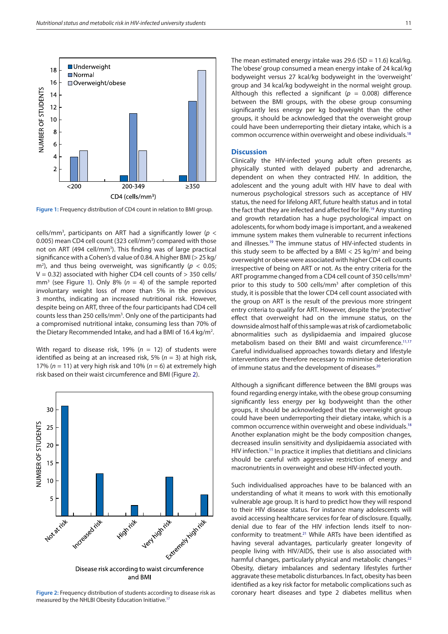

<span id="page-2-0"></span>**Figure 1:** Frequency distribution of CD4 count in relation to BMI group.

cells/mm<sup>3</sup>, participants on ART had a significantly lower ( $p <$ 0.005) mean CD4 cell count (323 cell/mm<sup>3</sup>) compared with those not on ART (494 cell/mm<sup>3</sup>). This finding was of large practical significance with a Cohen's d value of 0.84. A higher BMI (> 25 kg/  $m<sup>2</sup>$ ), and thus being overweight, was significantly ( $p < 0.05$ ;  $V = 0.32$ ) associated with higher CD4 cell counts of  $> 350$  cells/ mm<sup>3</sup> (see Figure [1](#page-2-0)). Only 8% ( $n = 4$ ) of the sample reported involuntary weight loss of more than 5% in the previous 3 months, indicating an increased nutritional risk. However, despite being on ART, three of the four participants had CD4 cell counts less than 250 cells/mm<sup>3</sup>. Only one of the participants had a compromised nutritional intake, consuming less than 70% of the Dietary Recommended Intake, and had a BMI of 16.4 kg/m<sup>2</sup>.

With regard to disease risk, 19% (*n* = 12) of students were identified as being at an increased risk, 5% (*n* = 3) at high risk, 17% ( $n = 11$ ) at very high risk and 10% ( $n = 6$ ) at extremely high risk based on their waist circumference and BMI (Figure [2\)](#page-2-1).



<span id="page-2-1"></span>**Figure 2:** Frequency distribution of students according to disease risk as measured by the NHLBI Obesity Education Initiative[.17](#page-4-6)

The mean estimated energy intake was 29.6 (SD = 11.6) kcal/kg. The 'obese' group consumed a mean energy intake of 24 kcal/kg bodyweight versus 27 kcal/kg bodyweight in the 'overweight' group and 34 kcal/kg bodyweight in the normal weight group. Although this reflected a significant ( $p = 0.008$ ) difference between the BMI groups, with the obese group consuming significantly less energy per kg bodyweight than the other groups, it should be acknowledged that the overweight group could have been underreporting their dietary intake, which is a common occurrence within overweight and obese individuals.[18](#page-4-7)

### <span id="page-2-6"></span>**Discussion**

<span id="page-2-7"></span>Clinically the HIV-infected young adult often presents as physically stunted with delayed puberty and adrenarche, dependent on when they contracted HIV. In addition, the adolescent and the young adult with HIV have to deal with numerous psychological stressors such as acceptance of HIV status, the need for lifelong ART, future health status and in total the fact that they are infected and affected for life.<sup>19</sup> Any stunting and growth retardation has a huge psychological impact on adolescents, for whom body image is important, and a weakened immune system makes them vulnerable to recurrent infections and illnesses.[19](#page-4-8) The immune status of HIV-infected students in this study seem to be affected by a BMI  $<$  25 kg/m<sup>2</sup> and being overweight or obese were associated with higher CD4 cell counts irrespective of being on ART or not. As the entry criteria for the ART programme changed from a CD4 cell count of 350 cells/mm<sup>3</sup> prior to this study to 500 cells/mm<sup>3</sup> after completion of this study, it is possible that the lower CD4 cell count associated with the group on ART is the result of the previous more stringent entry criteria to qualify for ART. However, despite the 'protective' effect that overweight had on the immune status, on the downside almost half of this sample was at risk of cardiometabolic abnormalities such as dyslipidaemia and impaired glucose metabolism based on their BMI and waist circumference.<sup>11,[17](#page-4-6)</sup> Careful individualised approaches towards dietary and lifestyle interventions are therefore necessary to minimise deterioration of immune status and the development of diseases[.20](#page-4-9)

<span id="page-2-5"></span><span id="page-2-2"></span>Although a significant difference between the BMI groups was found regarding energy intake, with the obese group consuming significantly less energy per kg bodyweight than the other groups, it should be acknowledged that the overweight group could have been underreporting their dietary intake, which is a common occurrence within overweight and obese individuals.[18](#page-4-7) Another explanation might be the body composition changes, decreased insulin sensitivity and dyslipidaemia associated with HIV infection.<sup>[11](#page-4-1)</sup> In practice it implies that dietitians and clinicians should be careful with aggressive restriction of energy and macronutrients in overweight and obese HIV-infected youth.

<span id="page-2-4"></span><span id="page-2-3"></span>Such individualised approaches have to be balanced with an understanding of what it means to work with this emotionally vulnerable age group. It is hard to predict how they will respond to their HIV disease status. For instance many adolescents will avoid accessing healthcare services for fear of disclosure. Equally, denial due to fear of the HIV infection lends itself to nonconformity to treatment[.21](#page-4-10) While ARTs have been identified as having several advantages, particularly greater longevity of people living with HIV/AIDS, their use is also associated with harmful changes, particularly physical and metabolic changes.<sup>[22](#page-4-11)</sup> Obesity, dietary imbalances and sedentary lifestyles further aggravate these metabolic disturbances. In fact, obesity has been identified as a key risk factor for metabolic complications such as coronary heart diseases and type 2 diabetes mellitus when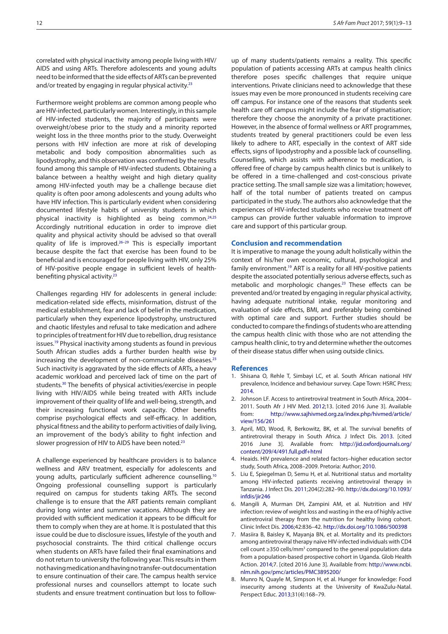correlated with physical inactivity among people living with HIV/ AIDS and using ARTs. Therefore adolescents and young adults need to be informed that the side effects of ARTs can be prevented and/or treated by engaging in regular physical activity.<sup>23</sup>

<span id="page-3-8"></span>Furthermore weight problems are common among people who are HIV-infected, particularly women. Interestingly, in this sample of HIV-infected students, the majority of participants were overweight/obese prior to the study and a minority reported weight loss in the three months prior to the study. Overweight persons with HIV infection are more at risk of developing metabolic and body composition abnormalities such as lipodystrophy, and this observation was confirmed by the results found among this sample of HIV-infected students. Obtaining a balance between a healthy weight and high dietary quality among HIV-infected youth may be a challenge because diet quality is often poor among adolescents and young adults who have HIV infection. This is particularly evident when considering documented lifestyle habits of university students in which physical inactivity is highlighted as being common.[24](#page-4-13)[,25](#page-4-14) Accordingly nutritional education in order to improve diet quality and physical activity should be advised so that overall quality of life is improved.[26–29](#page-4-15) This is especially important because despite the fact that exercise has been found to be beneficial and is encouraged for people living with HIV, only 25% of HIV-positive people engage in sufficient levels of healthbenefiting physical activity[.23](#page-4-12)

<span id="page-3-9"></span>Challenges regarding HIV for adolescents in general include: medication-related side effects, misinformation, distrust of the medical establishment, fear and lack of belief in the medication, particularly when they experience lipodystrophy, unstructured and chaotic lifestyles and refusal to take medication and adhere to principles of treatment for HIV due to rebellion, drug resistance issues[.19](#page-4-8) Physical inactivity among students as found in previous South African studies adds a further burden health wise by increasing the development of non-communicable diseases.<sup>23</sup> Such inactivity is aggravated by the side effects of ARTs, a heavy academic workload and perceived lack of time on the part of students.[30](#page-4-16) The benefits of physical activities/exercise in people living with HIV/AIDS while being treated with ARTs include improvement of their quality of life and well-being, strength, and their increasing functional work capacity. Other benefits comprise psychological effects and self-efficacy. In addition, physical fitness and the ability to perform activities of daily living, an improvement of the body's ability to fight infection and slower progression of HIV to AIDS have been noted.<sup>23</sup>

<span id="page-3-11"></span>A challenge experienced by healthcare providers is to balance wellness and ARV treatment, especially for adolescents and young adults, particularly sufficient adherence counselling[.10](#page-4-0) Ongoing professional counselling support is particularly required on campus for students taking ARTs. The second challenge is to ensure that the ART patients remain compliant during long winter and summer vacations. Although they are provided with sufficient medication it appears to be difficult for them to comply when they are at home. It is postulated that this issue could be due to disclosure issues, lifestyle of the youth and psychosocial constraints. The third critical challenge occurs when students on ARTs have failed their final examinations and do not return to university the following year. This results in them not having medication and having no transfer-out documentation to ensure continuation of their care. The campus health service professional nurses and counsellors attempt to locate such students and ensure treatment continuation but loss to followup of many students/patients remains a reality. This specific population of patients accessing ARTs at campus health clinics therefore poses specific challenges that require unique interventions. Private clinicians need to acknowledge that these issues may even be more pronounced in students receiving care off campus. For instance one of the reasons that students seek health care off campus might include the fear of stigmatisation; therefore they choose the anonymity of a private practitioner. However, in the absence of formal wellness or ART programmes, students treated by general practitioners could be even less likely to adhere to ART, especially in the context of ART side effects, signs of lipodystrophy and a possible lack of counselling. Counselling, which assists with adherence to medication, is offered free of charge by campus health clinics but is unlikely to be offered in a time-challenged and cost-conscious private practice setting. The small sample size was a limitation; however, half of the total number of patients treated on campus participated in the study. The authors also acknowledge that the experiences of HIV-infected students who receive treatment off campus can provide further valuable information to improve care and support of this particular group.

#### <span id="page-3-10"></span>**Conclusion and recommendation**

It is imperative to manage the young adult holistically within the context of his/her own economic, cultural, psychological and family environment[.19](#page-4-8) ART is a reality for all HIV-positive patients despite the associated potentially serious adverse effects, such as metabolic and morphologic changes.<sup>23</sup> These effects can be prevented and/or treated by engaging in regular physical activity, having adequate nutritional intake, regular monitoring and evaluation of side effects, BMI, and preferably being combined with optimal care and support. Further studies should be conducted to compare the findings of students who are attending the campus health clinic with those who are not attending the campus health clinic, to try and determine whether the outcomes of their disease status differ when using outside clinics.

#### **References**

- <span id="page-3-0"></span>1. Shisana O, Rehle T, Simbayi LC, et al. South African national HIV prevalence, Incidence and behaviour survey. Cape Town: HSRC Press; [2014](#page-0-8).
- <span id="page-3-1"></span>2. Johnson LF. Access to antiretroviral treatment in South Africa, 2004– 2011. South Afr J HIV Med. [2012;](#page-0-9)13. [cited 2016 June 3]. Available from: [http://www.sajhivmed.org.za/index.php/hivmed/article/](http://www.sajhivmed.org.za/index.php/hivmed/article/view/156/261) [view/156/261](http://www.sajhivmed.org.za/index.php/hivmed/article/view/156/261)
- <span id="page-3-2"></span>3. April, MD, Wood, R, Berkowitz, BK, et al. The survival benefits of antiretroviral therapy in South Africa. J Infect Dis. [2013](#page-0-10). [cited 2016 June 3]. Available from: [http://jid.oxfordjournals.org/](http://jid.oxfordjournals.org/content/209/4/491.full.pdf+html) [content/209/4/491.full.pdf+html](http://jid.oxfordjournals.org/content/209/4/491.full.pdf+html)
- <span id="page-3-3"></span>4. Heaids. HIV prevalence and related factors–higher education sector study, South Africa, 2008–2009. Pretoria: Author; [2010](#page-0-11).
- <span id="page-3-4"></span>5. Liu E, Spiegelman D, Semu H, et al. Nutritional status and mortality among HIV-infected patients receiving antiretroviral therapy in Tanzania. J Infect Dis. [2011;](#page-0-12)204(2):282–90. http://dx.doi.org/10.1093/ infdis/jir246
- <span id="page-3-5"></span>6. Mangili A, Murman DH, Zampini AM, et al. Nutrition and HIV infection: review of weight loss and wasting in the era of highly active antiretroviral therapy from the nutrition for healthy living cohort. Clinic Infect Dis. [2006;](#page-0-13)42:836–42. http://dx.doi.org/10.1086/500398
- <span id="page-3-6"></span>7. Masiira B, Baisley K, Mayanja BN, et al. Mortality and its predictors among antiretroviral therapy naïve HIV-infected individuals with CD4 cell count ≥350 cells/mm<sup>3</sup> compared to the general population: data from a population-based prospective cohort in Uganda. Glob Health Action. [2014;](#page-0-14)7. [cited 2016 June 3]. Available from: [http://www.ncbi.](http://www.ncbi.nlm.nih.gov/pmc/articles/PMC3895200/) [nlm.nih.gov/pmc/articles/PMC3895200/](http://www.ncbi.nlm.nih.gov/pmc/articles/PMC3895200/)
- <span id="page-3-7"></span>8. Munro N, Quayle M, Simpson H, et al. Hunger for knowledge: Food insecurity among students at the University of KwaZulu-Natal. Perspect Educ. [2013](#page-0-15);31(4):168–79.